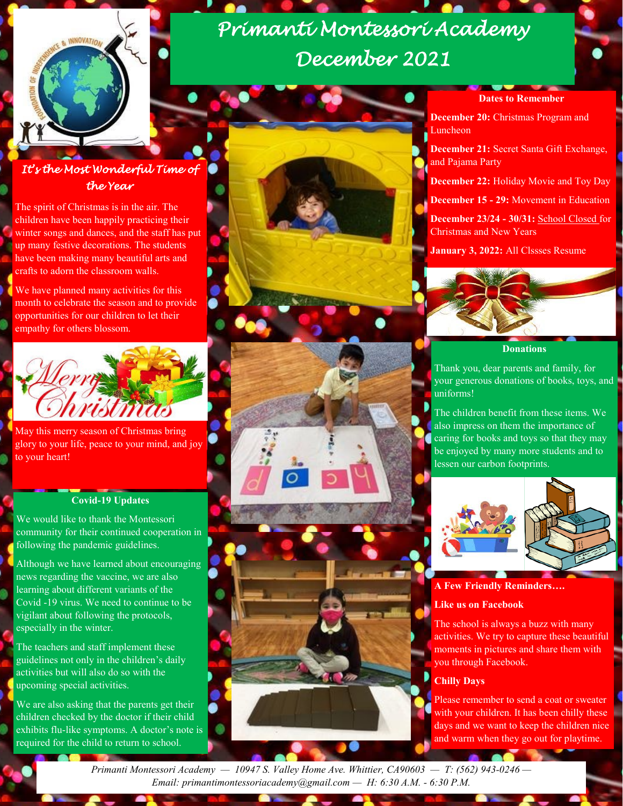

# *Primanti Montessori Academy December 2021*

### **to Remember**

**December 20:** Christmas Program and Luncheon

- **December 21:** Secret Santa Gift Exchange, and Pajama Party
- **December 22:** Holiday Movie and Toy Day
- **December 15 - 29:** Movement in Education

**December 23/24 - 30/31:** School Closed for Christmas and New Years

**January 3, 2022:** All Clssses Resume



#### **Donations**

Thank you, dear parents and family, for your generous donations of books, toys, and uniforms!

The children benefit from these items. We also impress on them the importance of caring for books and toys so that they may be enjoyed by many more students and to lessen our carbon footprints.



#### **A Few Friendly Reminders….**

### **Like us on Facebook**

The school is always a buzz with many activities. We try to capture these beautiful moments in pictures and share them with you through Facebook.

### **Chilly Days**

Please remember to send a coat or sweater with your children. It has been chilly these days and we want to keep the children nice and warm when they go out for playtime.

### *It's the Most Wonderful Time of the Year*

The spirit of Christmas is in the air. The children have been happily practicing their winter songs and dances, and the staff has put up many festive decorations. The students have been making many beautiful arts and crafts to adorn the classroom walls.

We have planned many activities for this month to celebrate the season and to provide opportunities for our children to let their empathy for others blossom.



May this merry season of Christmas bring glory to your life, peace to your mind, and joy to your heart!

### **Covid-19 Updates**

We would like to thank the Montessori community for their continued cooperation in following the pandemic guidelines.

Although we have learned about encouraging news regarding the vaccine, we are also learning about different variants of the Covid -19 virus. We need to continue to be vigilant about following the protocols, especially in the winter.

The teachers and staff implement these guidelines not only in the children's daily activities but will also do so with the upcoming special activities.

We are also asking that the parents get their children checked by the doctor if their child exhibits flu-like symptoms. A doctor's note is required for the child to return to school.



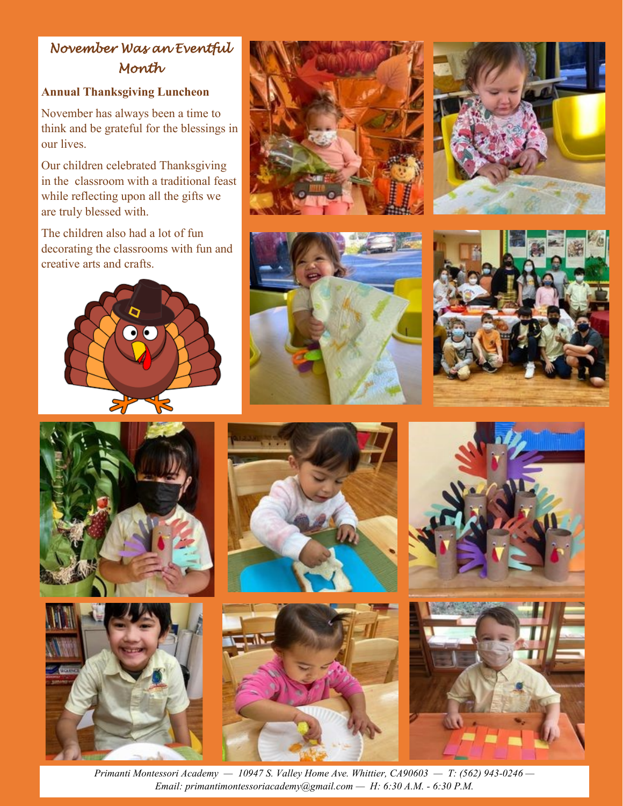# *November Was an Eventful Month*

# **Annual Thanksgiving Luncheon**

November has always been a time to think and be grateful for the blessings in our lives.

Our children celebrated Thanksgiving in the classroom with a traditional feast while reflecting upon all the gifts we are truly blessed with.

The children also had a lot of fun decorating the classrooms with fun and creative arts and crafts.





















*Primanti Montessori Academy — 10947 S. Valley Home Ave. Whittier, CA90603 — T: (562) 943-0246 — Email: primantimontessoriacademy@gmail.com — H: 6:30 A.M. - 6:30 P.M.*